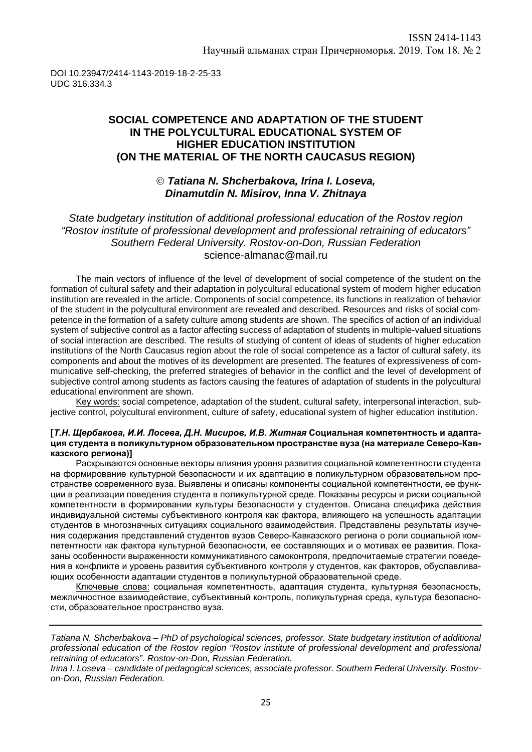DOI 10.23947/2414-1143-2019-18-2-25-33 UDC 316.334.3

## **SOCIAL COMPETENCE AND ADAPTATION OF THE STUDENT IN THE POLYCULTURAL EDUCATIONAL SYSTEM OF HIGHER EDUCATION INSTITUTION (ON THE MATERIAL OF THE NORTH CAUCASUS REGION)**

### *Tatiana N. Shcherbakova, Irina I. Loseva, Dinamutdin N. Misirov, Inna V. Zhitnaya*

*State budgetary institution of additional professional education of the Rostov region "Rostov institute of professional development and professional retraining of educators" Southern Federal University. Rostov-on-Don, Russian Federation* [science-almanac@mail.ru](mailto:science-almanac@mail.ru)

The main vectors of influence of the level of development of social competence of the student on the formation of cultural safety and their adaptation in polycultural educational system of modern higher education institution are revealed in the article. Components of social competence, its functions in realization of behavior of the student in the polycultural environment are revealed and described. Resources and risks of social competence in the formation of a safety culture among students are shown. The specifics of action of an individual system of subjective control as a factor affecting success of adaptation of students in multiple-valued situations of social interaction are described. The results of studying of content of ideas of students of higher education institutions of the North Caucasus region about the role of social competence as a factor of cultural safety, its components and about the motives of its development are presented. The features of expressiveness of communicative self-checking, the preferred strategies of behavior in the conflict and the level of development of subjective control among students as factors causing the features of adaptation of students in the polycultural educational environment are shown.

Key words: social competence, adaptation of the student, cultural safety, interpersonal interaction, subjective control, polycultural environment, culture of safety, educational system of higher education institution.

#### **[***Т.Н. Щербакова, И.И. Лосева, Д.Н. Мисиров, И.В. Житная* **Социальная компетентность и адаптация студента в поликультурном образовательном пространстве вуза (на материале Северо-Кавказского региона)]**

Раскрываются основные векторы влияния уровня развития социальной компетентности студента на формирование культурной безопасности и их адаптацию в поликультурном образовательном пространстве современного вуза. Выявлены и описаны компоненты социальной компетентности, ее функции в реализации поведения студента в поликультурной среде. Показаны ресурсы и риски социальной компетентности в формировании культуры безопасности у студентов. Описана специфика действия индивидуальной системы субъективного контроля как фактора, влияющего на успешность адаптации студентов в многозначных ситуациях социального взаимодействия. Представлены результаты изучения содержания представлений студентов вузов Северо-Кавказского региона о роли социальной компетентности как фактора культурной безопасности, ее составляющих и о мотивах ее развития. Показаны особенности выраженности коммуникативного самоконтроля, предпочитаемые стратегии поведения в конфликте и уровень развития субъективного контроля у студентов, как факторов, обуславливающих особенности адаптации студентов в поликультурной образовательной среде.

Ключевые слова: социальная компетентность, адаптация студента, культурная безопасность, межличностное взаимодействие, субъективный контроль, поликультурная среда, культура безопасности, образовательное пространство вуза.

*Tatiana N. Shcherbakova – PhD of psychological sciences, professor. State budgetary institution of additional professional education of the Rostov region "Rostov institute of professional development and professional retraining of educators". Rostov-on-Don, Russian Federation.*

*Irina I. Loseva – candidate of pedagogical sciences, associate professor. Southern Federal University. Rostovon-Don, Russian Federation.*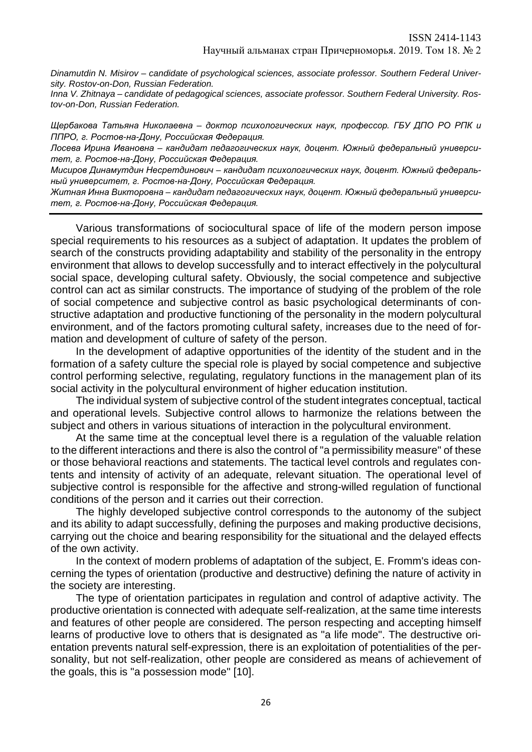*Dinamutdin N. Misirov – candidate of psychological sciences, associate professor. Southern Federal University. Rostov-on-Don, Russian Federation.*

*Inna V. Zhitnaya – candidate of pedagogical sciences, associate professor. Southern Federal University. Rostov-on-Don, Russian Federation.*

*Щербакова Татьяна Николаевна – доктор психологических наук, профессор. ГБУ ДПО РО РПК и ППРО, г. Ростов-на-Дону, Российская Федерация.*

*Лосева Ирина Ивановна – кандидат педагогических наук, доцент. Южный федеральный университет, г. Ростов-на-Дону, Российская Федерация.*

*Мисиров Динамутдин Несретдинович – кандидат психологических наук, доцент. Южный федеральный университет, г. Ростов-на-Дону, Российская Федерация.*

*Житная Инна Викторовна – кандидат педагогических наук, доцент. Южный федеральный университет, г. Ростов-на-Дону, Российская Федерация.*

Various transformations of sociocultural space of life of the modern person impose special requirements to his resources as a subject of adaptation. It updates the problem of search of the constructs providing adaptability and stability of the personality in the entropy environment that allows to develop successfully and to interact effectively in the polycultural social space, developing cultural safety. Obviously, the social competence and subjective control can act as similar constructs. The importance of studying of the problem of the role of social competence and subjective control as basic psychological determinants of constructive adaptation and productive functioning of the personality in the modern polycultural environment, and of the factors promoting cultural safety, increases due to the need of formation and development of culture of safety of the person.

In the development of adaptive opportunities of the identity of the student and in the formation of a safety culture the special role is played by social competence and subjective control performing selective, regulating, regulatory functions in the management plan of its social activity in the polycultural environment of higher education institution.

The individual system of subjective control of the student integrates conceptual, tactical and operational levels. Subjective control allows to harmonize the relations between the subject and others in various situations of interaction in the polycultural environment.

At the same time at the conceptual level there is a regulation of the valuable relation to the different interactions and there is also the control of "a permissibility measure" of these or those behavioral reactions and statements. The tactical level controls and regulates contents and intensity of activity of an adequate, relevant situation. The operational level of subjective control is responsible for the affective and strong-willed regulation of functional conditions of the person and it carries out their correction.

The highly developed subjective control corresponds to the autonomy of the subject and its ability to adapt successfully, defining the purposes and making productive decisions, carrying out the choice and bearing responsibility for the situational and the delayed effects of the own activity.

In the context of modern problems of adaptation of the subject, E. Fromm's ideas concerning the types of orientation (productive and destructive) defining the nature of activity in the society are interesting.

The type of orientation participates in regulation and control of adaptive activity. The productive orientation is connected with adequate self-realization, at the same time interests and features of other people are considered. The person respecting and accepting himself learns of productive love to others that is designated as "a life mode". The destructive orientation prevents natural self-expression, there is an exploitation of potentialities of the personality, but not self-realization, other people are considered as means of achievement of the goals, this is "a possession mode" [10].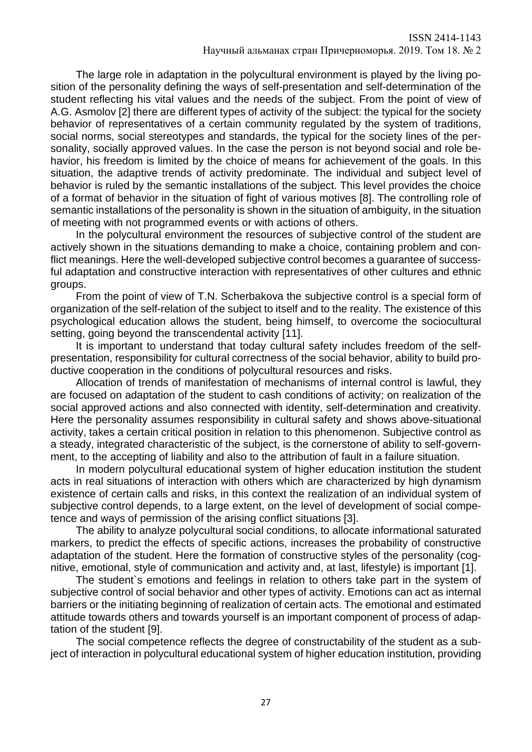The large role in adaptation in the polycultural environment is played by the living position of the personality defining the ways of self-presentation and self-determination of the student reflecting his vital values and the needs of the subject. From the point of view of A.G. Asmolov [2] there are different types of activity of the subject: the typical for the society behavior of representatives of a certain community regulated by the system of traditions, social norms, social stereotypes and standards, the typical for the society lines of the personality, socially approved values. In the case the person is not beyond social and role behavior, his freedom is limited by the choice of means for achievement of the goals. In this situation, the adaptive trends of activity predominate. The individual and subject level of behavior is ruled by the semantic installations of the subject. This level provides the choice of a format of behavior in the situation of fight of various motives [8]. The controlling role of semantic installations of the personality is shown in the situation of ambiguity, in the situation of meeting with not programmed events or with actions of others.

In the polycultural environment the resources of subjective control of the student are actively shown in the situations demanding to make a choice, containing problem and conflict meanings. Here the well-developed subjective control becomes a guarantee of successful adaptation and constructive interaction with representatives of other cultures and [ethnic](https://context.reverso.net/%D0%BF%D0%B5%D1%80%D0%B5%D0%B2%D0%BE%D0%B4/%D0%B0%D0%BD%D0%B3%D0%BB%D0%B8%D0%B9%D1%81%D0%BA%D0%B8%D0%B9-%D1%80%D1%83%D1%81%D1%81%D0%BA%D0%B8%D0%B9/ethnic+groups)  [groups.](https://context.reverso.net/%D0%BF%D0%B5%D1%80%D0%B5%D0%B2%D0%BE%D0%B4/%D0%B0%D0%BD%D0%B3%D0%BB%D0%B8%D0%B9%D1%81%D0%BA%D0%B8%D0%B9-%D1%80%D1%83%D1%81%D1%81%D0%BA%D0%B8%D0%B9/ethnic+groups)

From the point of view of T.N. Scherbakova the subjective control is a special form of organization of the self-relation of the subject to itself and to the reality. The existence of this psychological education allows the student, being himself, to overcome the sociocultural setting, going beyond the transcendental activity [11].

It is important to understand that today cultural safety includes freedom of the selfpresentation, responsibility for cultural correctness of the social behavior, ability to build productive cooperation in the conditions of polycultural resources and risks.

Allocation of trends of manifestation of mechanisms of internal control is lawful, they are focused on adaptation of the student to cash conditions of activity; on realization of the social approved actions and also connected with identity, self-determination and creativity. Here the personality assumes responsibility in cultural safety and shows above-situational activity, takes a certain critical position in relation to this phenomenon. Subjective control as a steady, integrated characteristic of the subject, is the cornerstone of ability to self-government, to the accepting of liability and also to the attribution of fault in a failure situation.

In modern polycultural educational system of higher education institution the student acts in real situations of interaction with others which are characterized by high dynamism existence of certain calls and risks, in this context the realization of an individual system of subjective control depends, to a large extent, on the level of development of social competence and ways of permission of the arising conflict situations [3].

The ability to analyze polycultural social conditions, to allocate informational saturated markers, to predict the effects of specific actions, increases the probability of constructive adaptation of the student. Here the formation of constructive styles of the personality (cognitive, emotional, style of communication and activity and, at last, lifestyle) is important [1].

The student`s emotions and feelings in relation to others take part in the system of subjective control of social behavior and other types of activity. Emotions can act as internal barriers or the initiating beginning of realization of certain acts. The emotional and estimated attitude towards others and towards yourself is an important component of process of adaptation of the student [9].

The social competence reflects the degree of constructability of the student as a subject of interaction in polycultural educational system of higher education institution, providing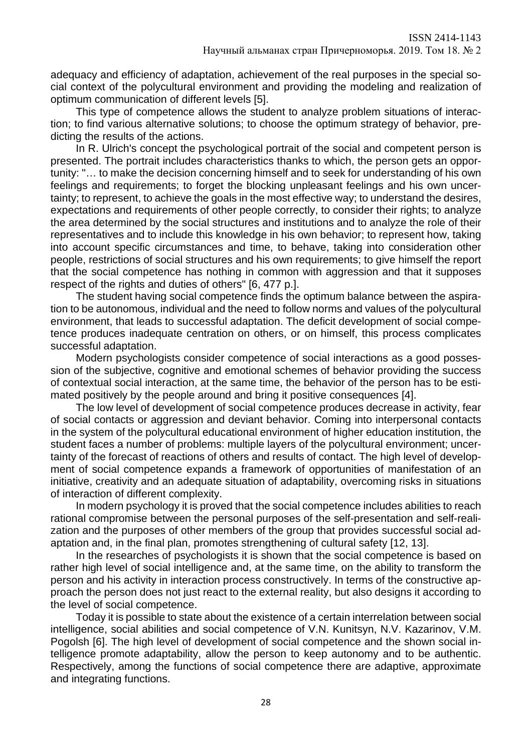adequacy and efficiency of adaptation, achievement of the real purposes in the special social context of the polycultural environment and providing the modeling and realization of optimum communication of different levels [5].

This type of competence allows the student to analyze problem situations of interaction; to find various alternative solutions; to choose the optimum strategy of behavior, predicting the results of the actions.

In R. Ulrich's concept the psychological portrait of the social and competent person is presented. The portrait includes characteristics thanks to which, the person gets an opportunity: "… to make the decision concerning himself and to seek for understanding of his own feelings and requirements; to forget the blocking unpleasant feelings and his own uncertainty; to represent, to achieve the goals in the most effective way; to understand the desires, expectations and requirements of other people correctly, to consider their rights; to analyze the area determined by the social structures and institutions and to analyze the role of their representatives and to include this knowledge in his own behavior; to represent how, taking into account specific circumstances and time, to behave, taking into consideration other people, restrictions of social structures and his own requirements; to give himself the report that the social competence has nothing in common with aggression and that it supposes respect of the rights and duties of others" [6, 477 p.].

The student having social competence finds the optimum balance between the aspiration to be autonomous, individual and the need to follow norms and values of the polycultural environment, that leads to successful adaptation. The deficit development of social competence produces inadequate centration on others, or on himself, this process complicates successful adaptation.

Modern psychologists consider competence of social interactions as a good possession of the subjective, cognitive and emotional schemes of behavior providing the success of contextual social interaction, at the same time, the behavior of the person has to be estimated positively by the people around and bring it positive consequences [4].

The low level of development of social competence produces decrease in activity, fear of social contacts or aggression and deviant behavior. Coming into interpersonal contacts in the system of the polycultural educational environment of higher education institution, the student faces a number of problems: multiple layers of the polycultural environment; uncertainty of the forecast of reactions of others and results of contact. The high level of development of social competence expands a framework of opportunities of manifestation of an initiative, creativity and an adequate situation of adaptability, overcoming risks in situations of interaction of different complexity.

In modern psychology it is proved that the social competence includes abilities to reach rational compromise between the personal purposes of the self-presentation and self-realization and the purposes of other members of the group that provides successful social adaptation and, in the final plan, promotes strengthening of cultural safety [12, 13].

In the researches of psychologists it is shown that the social competence is based on rather high level of social intelligence and, at the same time, on the ability to transform the person and his activity in interaction process constructively. In terms of the constructive approach the person does not just react to the external reality, but also designs it according to the level of social competence.

Today it is possible to state about the existence of a certain interrelation between social intelligence, social abilities and social competence of V.N. Kunitsyn, N.V. Kazarinov, V.M. Pogolsh [6]. The high level of development of social competence and the shown social intelligence promote adaptability, allow the person to keep autonomy and to be authentic. Respectively, among the functions of social competence there are adaptive, approximate and integrating functions.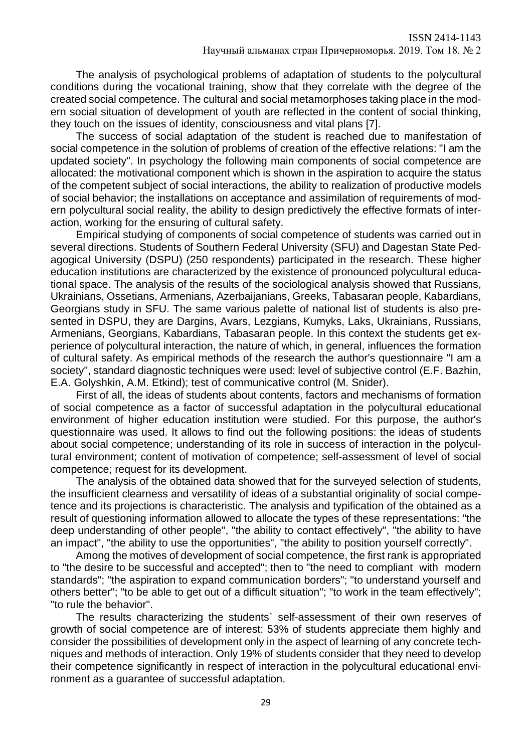The analysis of psychological problems of adaptation of students to the polycultural conditions during the vocational training, show that they correlate with the degree of the created social competence. The cultural and social metamorphoses taking place in the modern social situation of development of youth are reflected in the content of social thinking, they touch on the issues of identity, consciousness and vital plans [7].

The success of social adaptation of the student is reached due to manifestation of social competence in the solution of problems of creation of the effective relations: "I am the updated society". In psychology the following main components of social competence are allocated: the motivational component which is shown in the aspiration to acquire the status of the competent subject of social interactions, the ability to realization of productive models of social behavior; the installations on acceptance and assimilation of requirements of modern polycultural social reality, the ability to design predictively the effective formats of interaction, working for the ensuring of cultural safety.

Empirical studying of components of social competence of students was carried out in several directions. Students of Southern Federal University (SFU) and Dagestan State Pedagogical University (DSPU) (250 respondents) participated in the research. These higher education institutions are characterized by the existence of pronounced polycultural educational space. The analysis of the results of the sociological analysis showed that Russians, Ukrainians, Ossetians, Armenians, Azerbaijanians, Greeks, Tabasaran people, Kabardians, Georgians study in SFU. The same various palette of national list of students is also presented in DSPU, they are Dargins, Avars, Lezgians, Kumyks, Laks, Ukrainians, Russians, Armenians, Georgians, Kabardians, Tabasaran people. In this context the students get experience of polycultural interaction, the nature of which, in general, influences the formation of cultural safety. As empirical methods of the research the author's questionnaire "I am a society", standard diagnostic techniques were used: level of subjective control (E.F. Bazhin, E.A. Golyshkin, A.M. Etkind); test of communicative control (M. Snider).

First of all, the ideas of students about contents, factors and mechanisms of formation of social competence as a factor of successful adaptation in the polycultural educational environment of higher education institution were studied. For this purpose, the author's questionnaire was used. It allows to find out the following positions: the ideas of students about social competence; understanding of its role in success of interaction in the polycultural environment; content of motivation of competence; self-assessment of level of social competence; request for its development.

The analysis of the obtained data showed that for the surveyed selection of students, the insufficient clearness and versatility of ideas of a substantial originality of social competence and its projections is characteristic. The analysis and typification of the obtained as a result of questioning information allowed to allocate the types of these representations: "the deep understanding of other people", "the ability to contact effectively", "the ability to have an impact", "the ability to use the opportunities", "the ability to position yourself correctly".

Among the motives of development of social competence, the first rank is appropriated to "the desire to be successful and accepted"; then to "the need to compliant with modern standards"; "the aspiration to expand communication borders"; "to understand yourself and others better"; "to be able to get out of a difficult situation"; "to work in the team effectively"; "to rule the behavior".

The results characterizing the students` self-assessment of their own reserves of growth of social competence are of interest: 53% of students appreciate them highly and consider the possibilities of development only in the aspect of learning of any concrete techniques and methods of interaction. Only 19% of students consider that they need to develop their competence significantly in respect of interaction in the polycultural educational environment as a guarantee of successful adaptation.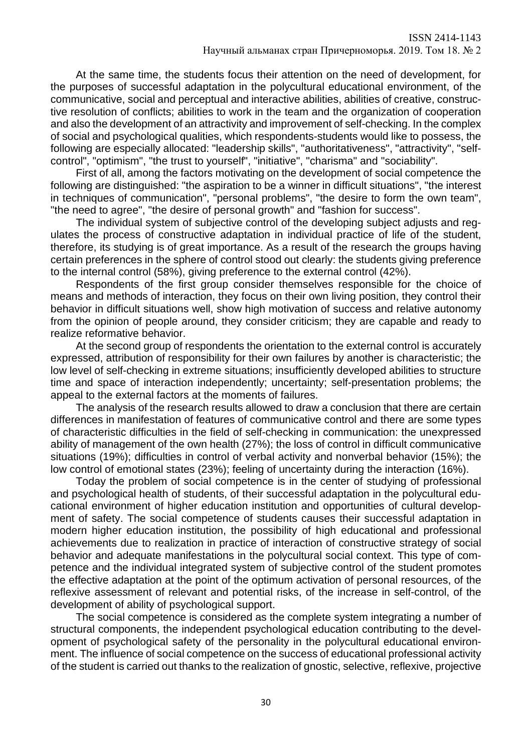At the same time, the students focus their attention on the need of development, for the purposes of successful adaptation in the polycultural educational environment, of the communicative, social and perceptual and interactive abilities, abilities of creative, constructive resolution of conflicts; abilities to work in the team and the organization of cooperation and also the development of an attractivity and improvement of self-checking. In the complex of social and psychological qualities, which respondents-students would like to possess, the following are especially allocated: "leadership skills", "authoritativeness", "attractivity", "selfcontrol", "optimism", "the trust to yourself", "initiative", "charisma" and "sociability".

First of all, among the factors motivating on the development of social competence the following are distinguished: "the aspiration to be a winner in difficult situations", "the interest in techniques of communication", "personal problems", "the desire to form the own team", "the need to agree", "the desire of personal growth" and "fashion for success".

The individual system of subjective control of the developing subject adjusts and regulates the process of constructive adaptation in individual practice of life of the student, therefore, its studying is of great importance. As a result of the research the groups having certain preferences in the sphere of control stood out clearly: the students giving preference to the internal control (58%), giving preference to the external control (42%).

Respondents of the first group consider themselves responsible for the choice of means and methods of interaction, they focus on their own living position, they control their behavior in difficult situations well, show high motivation of success and relative autonomy from the opinion of people around, they consider criticism; they are capable and ready to realize reformative behavior.

At the second group of respondents the orientation to the external control is accurately expressed, attribution of responsibility for their own failures by another is characteristic; the low level of self-checking in extreme situations; insufficiently developed abilities to structure time and space of interaction independently; uncertainty; self-presentation problems; the appeal to the external factors at the moments of failures.

The analysis of the research results allowed to draw a conclusion that there are certain differences in manifestation of features of communicative control and there are some types of characteristic difficulties in the field of self-checking in communication: the unexpressed ability of management of the own health (27%); the loss of control in difficult communicative situations (19%); difficulties in control of verbal activity and nonverbal behavior (15%); the low control of emotional states (23%); feeling of uncertainty during the interaction (16%).

Today the problem of social competence is in the center of studying of professional and psychological health of students, of their successful adaptation in the polycultural educational environment of higher education institution and opportunities of cultural development of safety. The social competence of students causes their successful adaptation in modern higher education institution, the possibility of high educational and professional achievements due to realization in practice of interaction of constructive strategy of social behavior and adequate manifestations in the polycultural social context. This type of competence and the individual integrated system of subjective control of the student promotes the effective adaptation at the point of the optimum activation of personal resources, of the reflexive assessment of relevant and potential risks, of the increase in self-control, of the development of ability of psychological support.

The social competence is considered as the complete system integrating a number of structural components, the independent psychological education contributing to the development of psychological safety of the personality in the polycultural educational environment. The influence of social competence on the success of educational professional activity of the student is carried out thanks to the realization of gnostic, selective, reflexive, projective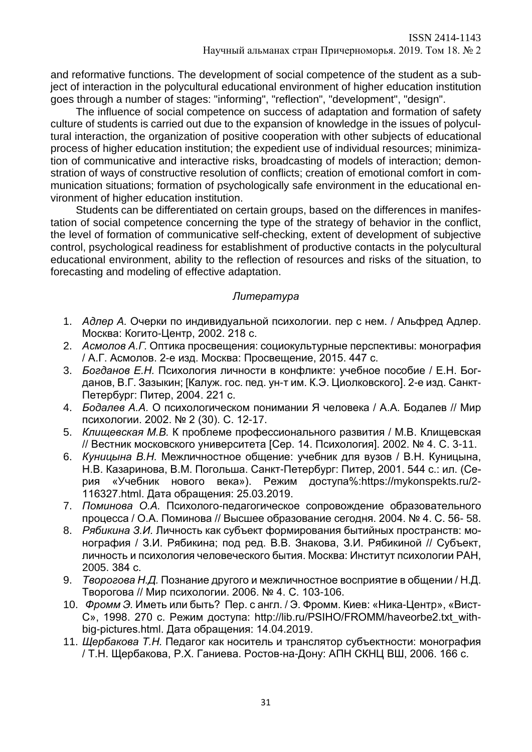and reformative functions. The development of social competence of the student as a subject of interaction in the polycultural educational environment of higher education institution goes through a number of stages: "informing", "reflection", "development", "design".

The influence of social competence on success of adaptation and formation of safety culture of students is carried out due to the expansion of knowledge in the issues of polycultural interaction, the organization of positive cooperation with other subjects of educational process of higher education institution; the expedient use of individual resources; minimization of communicative and interactive risks, broadcasting of models of interaction; demonstration of ways of constructive resolution of conflicts; creation of emotional comfort in communication situations; formation of psychologically safe environment in the educational environment of higher education institution.

Students can be differentiated on certain groups, based on the differences in manifestation of social competence concerning the type of the strategy of behavior in the conflict, the level of formation of communicative self-checking, extent of development of subjective control, psychological readiness for establishment of productive contacts in the polycultural educational environment, ability to the reflection of resources and risks of the situation, to forecasting and modeling of effective adaptation.

# *Литература*

- 1. *Адлер А.* Очерки по индивидуальной психологии. пер с нем. / Альфред Адлер. Москва: Когито-Центр, 2002. 218 с.
- 2. *Асмолов А.Г.* Оптика просвещения: социокультурные перспективы: монография / А.Г. Асмолов. 2-е изд. Москва: Просвещение, 2015. 447 с.
- 3. *Богданов Е.Н.* Психология личности в конфликте: учебное пособие / Е.Н. Богданов, В.Г. Зазыкин; [Калуж. гос. пед. ун-т им. К.Э. Циолковского]. 2-е изд. Санкт-Петербург: Питер, 2004. 221 с.
- 4. *Бодалев А.А.* О психологическом понимании Я человека / А.А. Бодалев // Мир психологии. 2002. № 2 (30). С. 12-17.
- 5. *Клищевская М.В.* К проблеме профессионального развития / М.В. Клищевская // Вестник московского университета [Сер. 14. Психология]. 2002. № 4. С. 3-11.
- 6. *Куницына В.Н.* Межличностное общение: учебник для вузов / В.Н. Куницына, Н.В. Казаринова, В.М. Погольша. Санкт-Петербург: Питер, 2001. 544 с.: ил. (Серия «Учебник нового века»). Режим доступа%:https://mykonspekts.ru/2- 116327.html. Дата обращения: 25.03.2019.
- 7. *Поминова О.А.* Психолого-педагогическое сопровождение образовательного процесса / О.А. Поминова // Высшее образование сегодня. 2004. № 4. С. 56- 58.
- 8. *Рябикина З.И.* Личность как субъект формирования бытийных пространств: монография / З.И. Рябикина; под ред. В.В. Знакова, З.И. Рябикиной // Субъект, личность и психология человеческого бытия. Москва: Институт психологии РАН, 2005. 384 с.
- 9. *Творогова Н.Д.* Познание другого и межличностное восприятие в общении / Н.Д. Творогова // Мир психологии. 2006. № 4. С. 103-106.
- 10. *Фромм Э.* Иметь или быть? Пер. с англ. / Э. Фромм. Киев: «Ника-Центр», «Вист-С», 1998. 270 с. Режим доступа: http://lib.ru/PSIHO/FROMM/haveorbe2.txt\_withbig-pictures.html. Дата обращения: 14.04.2019.
- 11. *Щербакова Т.Н.* Педагог как носитель и транслятор субъектности: монография / Т.Н. Щербакова, Р.Х. Ганиева. Ростов-на-Дону: АПН СКНЦ ВШ, 2006. 166 с.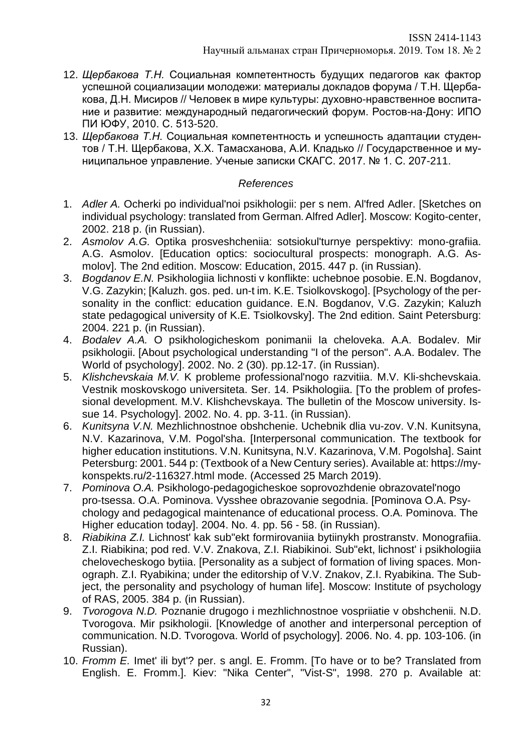- 12. *Щербакова Т.Н.* Социальная компетентность будущих педагогов как фактор успешной социализации молодежи: материалы докладов форума / Т.Н. Щербакова, Д.Н. Мисиров // Человек в мире культуры: духовно-нравственное воспитание и развитие: международный педагогический форум. Ростов-на-Дону: ИПО ПИ ЮФУ, 2010. С. 513-520.
- 13. *Щербакова Т.Н.* Социальная компетентность и успешность адаптации студентов / Т.Н. Щербакова, Х.Х. Тамасханова, А.И. Кладько // Государственное и муниципальное управление. Ученые записки СКАГС. 2017. № 1. С. 207-211.

# *References*

- 1. *Adler A.* Ocherki po individual'noi psikhologii: per s nem. Al'fred Adler. [Sketches on individual psychology: translated from German. Alfred Adler]. Moscow: Kogito-center, 2002. 218 p. (in Russian).
- 2. *Asmolov A.G.* Optika prosveshcheniia: sotsiokul'turnye perspektivy: mono-grafiia. A.G. Asmolov. [Education optics: sociocultural prospects: monograph. A.G. Asmolov]. The 2nd edition. Moscow: Education, 2015. 447 p. (in Russian).
- 3. *Bogdanov E.N.* Psikhologiia lichnosti v konflikte: uchebnoe posobie. E.N. Bogdanov, V.G. Zazykin; [Kaluzh. gos. ped. un-t im. K.E. Tsiolkovskogo]. [Psychology of the personality in the conflict: education guidance. E.N. Bogdanov, V.G. Zazykin; Kaluzh state pedagogical university of K.E. Tsiolkovsky]. The 2nd edition. Saint Petersburg: 2004. 221 p. (in Russian).
- 4. *Bodalev A.A.* O psikhologicheskom ponimanii Ia cheloveka. A.A. Bodalev. Mir psikhologii. [About psychological understanding "I of the person". A.A. Bodalev. The World of psychology]. 2002. No. 2 (30). pp.12-17. (in Russian).
- 5. *Klishchevskaia M.V.* K probleme professional'nogo razvitiia. M.V. Kli-shchevskaia. Vestnik moskovskogo universiteta. Ser. 14. Psikhologiia. [To the problem of professional development. M.V. Klishchevskaya. The bulletin of the Moscow university. Issue 14. Psychology]. 2002. No. 4. pp. 3-11. (in Russian).
- 6. *Kunitsyna V.N.* Mezhlichnostnoe obshchenie. Uchebnik dlia vu-zov. V.N. Kunitsyna, N.V. Kazarinova, V.M. Pogol'sha. [Interpersonal communication. The textbook for higher education institutions. V.N. Kunitsyna, N.V. Kazarinova, V.M. Pogolsha]. Saint Petersburg: 2001. 544 p: (Textbook of a New Century series). Available at: https://mykonspekts.ru/2-116327.html mode. (Accessed 25 March 2019).
- 7. *Pominova O.A.* Psikhologo-pedagogicheskoe soprovozhdenie obrazovatel'nogo pro-tsessa. O.A. Pominova. Vysshee obrazovanie segodnia. [Pominova O.A. Psychology and pedagogical maintenance of educational process. O.A. Pominova. The Higher education today]. 2004. No. 4. pp. 56 - 58. (in Russian).
- 8. *Riabikina Z.I.* Lichnost' kak sub"ekt formirovaniia bytiinykh prostranstv. Monografiia. Z.I. Riabikina; pod red. V.V. Znakova, Z.I. Riabikinoi. Sub"ekt, lichnost' i psikhologiia chelovecheskogo bytiia. [Personality as a subject of formation of living spaces. Monograph. Z.I. Ryabikina; under the editorship of V.V. Znakov, Z.I. Ryabikina. The Subject, the personality and psychology of human life]. Moscow: Institute of psychology of RAS, 2005. 384 p. (in Russian).
- 9. *Tvorogova N.D.* Poznanie drugogo i mezhlichnostnoe vospriiatie v obshchenii. N.D. Tvorogova. Mir psikhologii. [Knowledge of another and interpersonal perception of communication. N.D. Tvorogova. World of psychology]. 2006. No. 4. pp. 103-106. (in Russian).
- 10. *Fromm E.* Imet' ili byt'? per. s angl. E. Fromm. [To have or to be? Translated from English. E. Fromm.]. Kiev: "Nika Center", "Vist-S", 1998. 270 p. Available at: